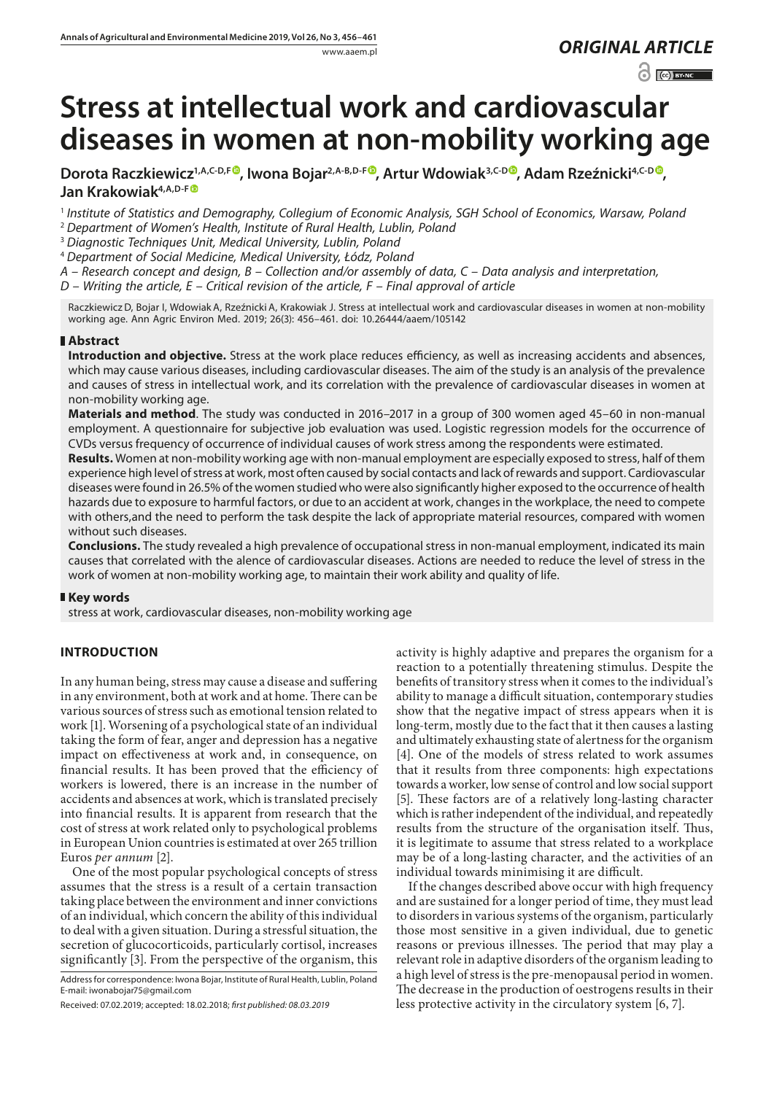# www.aaem.pl *ORIGINAL [ARTICLE](http://creativecommons.org/licenses/by-nc/3.0/pl/deed.en)*

 $\odot$   $\odot$  BY-NC

# **Stress at intellectual work and cardiovascular diseases in women at non-mobility working age**

[D](https://orcid.org/0000-0002-9926-721X)orota Raczkiewicz<sup>1,A,C-D,F<sup>®</sup>, Iwona Bojar<sup>2,A-B,D-F<sup>®</sup>, Artur Wdowiak<sup>3,C-D®</sup>, Adam Rzeźnicki<sup>4,C-D®</sup>,</sup></sup> **Jan Krakowiak4,A,D-[F](https://orcid.org/0000-0002-3435-9658)**

<sup>1</sup> *Institute of Statistics and Demography, Collegium of Economic Analysis, SGH School of Economics, Warsaw, Poland* <sup>2</sup> *Department of Women's Health, Institute of Rural Health, Lublin, Poland*

<sup>3</sup> *Diagnostic Techniques Unit, Medical University, Lublin, Poland*

<sup>4</sup> *Department of Social Medicine, Medical University, Łódz, Poland*

*A – Research concept and design, B – Collection and/or assembly of data, C – Data analysis and interpretation,* 

*D – Writing the article, E – Critical revision of the article, F – Final approval of article*

RaczkiewiczD, Bojar I, Wdowiak A, Rzeźnicki A, Krakowiak J. Stress at intellectual work and cardiovascular diseases in women at non-mobility working age. Ann Agric Environ Med. 2019; 26(3): 456–461. doi: 10.26444/aaem/105142

# **Abstract**

**Introduction and objective.** Stress at the work place reduces efficiency, as well as increasing accidents and absences, which may cause various diseases, including cardiovascular diseases. The aim of the study is an analysis of the prevalence and causes of stress in intellectual work, and its correlation with the prevalence of cardiovascular diseases in women at non-mobility working age.

**Materials and method**. The study was conducted in 2016–2017 in a group of 300 women aged 45–60 in non-manual employment. A questionnaire for subjective job evaluation was used. Logistic regression models for the occurrence of CVDs versus frequency of occurrence of individual causes of work stress among the respondents were estimated.

**Results.** Women at non-mobility working age with non-manual employment are especially exposed to stress, half of them experience high level of stress at work, most often caused by social contacts and lack of rewards and support. Cardiovascular diseases were found in 26.5% of the women studied who were also significantly higher exposed to the occurrence of health hazards due to exposure to harmful factors, or due to an accident at work, changes in the workplace, the need to compete with others,and the need to perform the task despite the lack of appropriate material resources, compared with women without such diseases.

**Conclusions.** The study revealed a high prevalence of occupational stress in non-manual employment, indicated its main causes that correlated with the alence of cardiovascular diseases. Actions are needed to reduce the level of stress in the work of women at non-mobility working age, to maintain their work ability and quality of life.

# **Key words**

stress at work, cardiovascular diseases, non-mobility working age

# **INTRODUCTION**

In any human being, stress may cause a disease and suffering in any environment, both at work and at home. There can be various sources of stress such as emotional tension related to work [1]. Worsening of a psychological state of an individual taking the form of fear, anger and depression has a negative impact on effectiveness at work and, in consequence, on financial results. It has been proved that the efficiency of workers is lowered, there is an increase in the number of accidents and absences at work, which is translated precisely into financial results. It is apparent from research that the cost of stress at work related only to psychological problems in European Union countries is estimated at over 265 trillion Euros *per annum* [2].

One of the most popular psychological concepts of stress assumes that the stress is a result of a certain transaction taking place between the environment and inner convictions of an individual, which concern the ability of this individual to deal with a given situation. During a stressful situation, the secretion of glucocorticoids, particularly cortisol, increases significantly [3]. From the perspective of the organism, this

Address for correspondence: Iwona Bojar, Institute of Rural Health, Lublin, Poland E-mail: [iwonabojar75@gmail.com](mailto:iwonabojar75@gmail.com)

Received: 07.02.2019; accepted: 18.02.2018; *first published: 08.03.2019*

activity is highly adaptive and prepares the organism for a reaction to a potentially threatening stimulus. Despite the benefits of transitory stress when it comes to the individual's ability to manage a difficult situation, contemporary studies show that the negative impact of stress appears when it is long-term, mostly due to the fact that it then causes a lasting and ultimately exhausting state of alertness for the organism [4]. One of the models of stress related to work assumes that it results from three components: high expectations towards a worker, low sense of control and low social support [5]. These factors are of a relatively long-lasting character which is rather independent of the individual, and repeatedly results from the structure of the organisation itself. Thus, it is legitimate to assume that stress related to a workplace may be of a long-lasting character, and the activities of an individual towards minimising it are difficult.

If the changes described above occur with high frequency and are sustained for a longer period of time, they must lead to disorders in various systems of the organism, particularly those most sensitive in a given individual, due to genetic reasons or previous illnesses. The period that may play a relevant role in adaptive disorders of the organism leading to a high level of stress is the pre-menopausal period in women. The decrease in the production of oestrogens results in their less protective activity in the circulatory system [6, 7].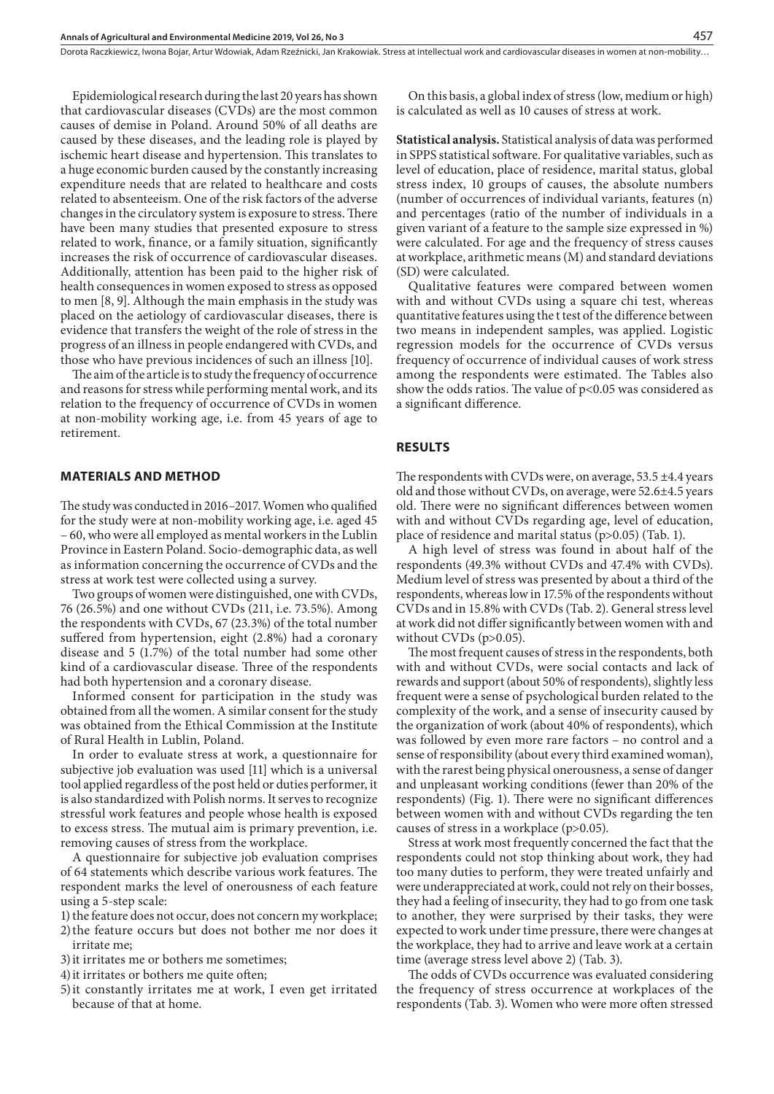Dorota Raczkiewicz, Iwona Bojar, Artur Wdowiak, Adam Rzeźnicki, Jan Krakowiak . Stress at intellectual work and cardiovascular diseases in women at non-mobility…

Epidemiological research during the last 20 years has shown that cardiovascular diseases (CVDs) are the most common causes of demise in Poland. Around 50% of all deaths are caused by these diseases, and the leading role is played by ischemic heart disease and hypertension. This translates to a huge economic burden caused by the constantly increasing expenditure needs that are related to healthcare and costs related to absenteeism. One of the risk factors of the adverse changes in the circulatory system is exposure to stress. There have been many studies that presented exposure to stress related to work, finance, or a family situation, significantly increases the risk of occurrence of cardiovascular diseases. Additionally, attention has been paid to the higher risk of health consequences in women exposed to stress as opposed to men [8, 9]. Although the main emphasis in the study was placed on the aetiology of cardiovascular diseases, there is evidence that transfers the weight of the role of stress in the progress of an illness in people endangered with CVDs, and those who have previous incidences of such an illness [10].

The aim of the article is to study the frequency of occurrence and reasons for stress while performing mental work, and its relation to the frequency of occurrence of CVDs in women at non-mobility working age, i.e. from 45 years of age to retirement.

#### **MATERIALS AND METHOD**

The study was conducted in 2016–2017. Women who qualified for the study were at non-mobility working age, i.e. aged 45 – 60, who were all employed as mental workers in the Lublin Province in Eastern Poland. Socio-demographic data, as well as information concerning the occurrence of CVDs and the stress at work test were collected using a survey.

Two groups of women were distinguished, one with CVDs, 76 (26.5%) and one without CVDs (211, i.e. 73.5%). Among the respondents with CVDs, 67 (23.3%) of the total number suffered from hypertension, eight (2.8%) had a coronary disease and 5 (1.7%) of the total number had some other kind of a cardiovascular disease. Three of the respondents had both hypertension and a coronary disease.

Informed consent for participation in the study was obtained from all the women. A similar consent for the study was obtained from the Ethical Commission at the Institute of Rural Health in Lublin, Poland.

In order to evaluate stress at work, a questionnaire for subjective job evaluation was used [11] which is a universal tool applied regardless of the post held or duties performer, it is also standardized with Polish norms. It serves to recognize stressful work features and people whose health is exposed to excess stress. The mutual aim is primary prevention, i.e. removing causes of stress from the workplace.

A questionnaire for subjective job evaluation comprises of 64 statements which describe various work features. The respondent marks the level of onerousness of each feature using a 5-step scale:

1) the feature does not occur, does not concern my workplace;

- 2)the feature occurs but does not bother me nor does it irritate me;
- 3)it irritates me or bothers me sometimes;
- 4)it irritates or bothers me quite often;
- 5)it constantly irritates me at work, I even get irritated because of that at home.

On this basis, a global index of stress (low, medium or high) is calculated as well as 10 causes of stress at work.

**Statistical analysis.** Statistical analysis of data was performed in SPPS statistical software. For qualitative variables, such as level of education, place of residence, marital status, global stress index, 10 groups of causes, the absolute numbers (number of occurrences of individual variants, features (n) and percentages (ratio of the number of individuals in a given variant of a feature to the sample size expressed in %) were calculated. For age and the frequency of stress causes at workplace, arithmetic means (M) and standard deviations (SD) were calculated.

Qualitative features were compared between women with and without CVDs using a square chi test, whereas quantitative features using the t test of the difference between two means in independent samples, was applied. Logistic regression models for the occurrence of CVDs versus frequency of occurrence of individual causes of work stress among the respondents were estimated. The Tables also show the odds ratios. The value of p<0.05 was considered as a significant difference.

#### **RESULTS**

The respondents with CVDs were, on average, 53.5 ±4.4 years old and those without CVDs, on average, were 52.6±4.5 years old. There were no significant differences between women with and without CVDs regarding age, level of education, place of residence and marital status (p>0.05) (Tab. 1).

A high level of stress was found in about half of the respondents (49.3% without CVDs and 47.4% with CVDs). Medium level of stress was presented by about a third of the respondents, whereas low in 17.5% of the respondents without CVDs and in 15.8% with CVDs (Tab. 2). General stress level at work did not differ significantly between women with and without CVDs (p>0.05).

The most frequent causes of stress in the respondents, both with and without CVDs, were social contacts and lack of rewards and support (about 50% of respondents), slightly less frequent were a sense of psychological burden related to the complexity of the work, and a sense of insecurity caused by the organization of work (about 40% of respondents), which was followed by even more rare factors – no control and a sense of responsibility (about every third examined woman), with the rarest being physical onerousness, a sense of danger and unpleasant working conditions (fewer than 20% of the respondents) (Fig. 1). There were no significant differences between women with and without CVDs regarding the ten causes of stress in a workplace (p>0.05).

Stress at work most frequently concerned the fact that the respondents could not stop thinking about work, they had too many duties to perform, they were treated unfairly and were underappreciated at work, could not rely on their bosses, they had a feeling of insecurity, they had to go from one task to another, they were surprised by their tasks, they were expected to work under time pressure, there were changes at the workplace, they had to arrive and leave work at a certain time (average stress level above 2) (Tab. 3).

The odds of CVDs occurrence was evaluated considering the frequency of stress occurrence at workplaces of the respondents (Tab. 3). Women who were more often stressed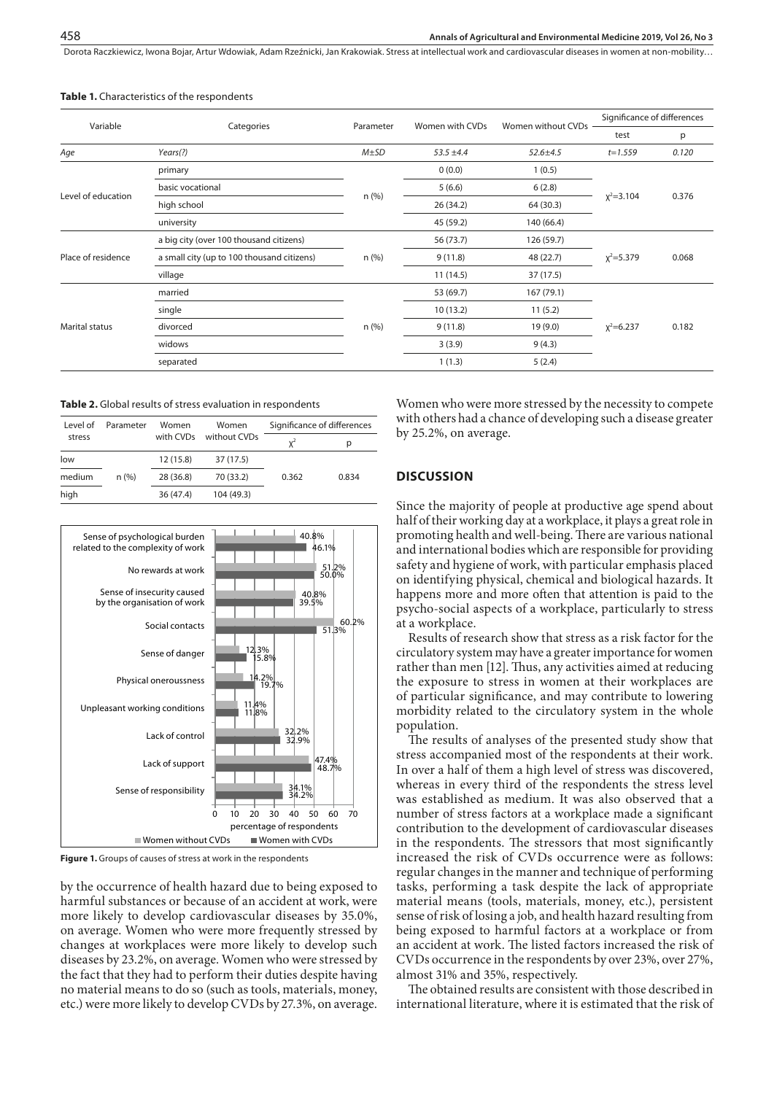Dorota Raczkiewicz, Iwona Bojar, Artur Wdowiak, Adam Rzeźnicki, Jan Krakowiak . Stress at intellectual work and cardiovascular diseases in women at non-mobility…

| Variable              |                                            |            |                 |                    | Significance of differences |       |
|-----------------------|--------------------------------------------|------------|-----------------|--------------------|-----------------------------|-------|
|                       | Categories                                 | Parameter  | Women with CVDs | Women without CVDs | test                        | p     |
| Age                   | Years(?)                                   | $M \pm SD$ | $53.5 \pm 4.4$  | $52.6 \pm 4.5$     | $t = 1.559$                 | 0.120 |
| Level of education    | primary                                    |            | 0(0.0)          | 1(0.5)             | $x^2 = 3.104$               | 0.376 |
|                       | basic vocational                           |            | 5(6.6)          | 6(2.8)             |                             |       |
|                       | high school                                | n (%)      | 26 (34.2)       | 64 (30.3)          |                             |       |
|                       | university                                 |            | 45 (59.2)       | 140 (66.4)         |                             |       |
| Place of residence    | a big city (over 100 thousand citizens)    |            | 56 (73.7)       | 126 (59.7)         | $x^2 = 5.379$               | 0.068 |
|                       | a small city (up to 100 thousand citizens) | $n$ (%)    | 9(11.8)         | 48 (22.7)          |                             |       |
|                       | village                                    |            | 11(14.5)        | 37 (17.5)          |                             |       |
| <b>Marital status</b> | married                                    |            | 53 (69.7)       | 167 (79.1)         | $x^2=6.237$                 | 0.182 |
|                       | single                                     |            | 10(13.2)        | 11(5.2)            |                             |       |
|                       | divorced                                   | $n$ (%)    | 9(11.8)         | 19(9.0)            |                             |       |
|                       | widows                                     |            | 3(3.9)          | 9(4.3)             |                             |       |
|                       | separated                                  |            | 1(1.3)          | 5(2.4)             |                             |       |

**Table 1.** Characteristics of the respondents

**Table 2.** Global results of stress evaluation in respondents

| Level of<br>stress | Parameter | Women<br>with CVDs | Women<br>without CVDs | Significance of differences |       |  |
|--------------------|-----------|--------------------|-----------------------|-----------------------------|-------|--|
|                    |           |                    |                       | $x^2$                       | р     |  |
| low                |           | 12(15.8)           | 37 (17.5)             |                             |       |  |
| medium             | n(%)      | 28 (36.8)          | 70 (33.2)             | 0.362                       | 0.834 |  |
| high               |           | 36 (47.4)          | 104 (49.3)            |                             |       |  |



**Figure 1.** Groups of causes of stress at work in the respondents

by the occurrence of health hazard due to being exposed to harmful substances or because of an accident at work, were more likely to develop cardiovascular diseases by 35.0%, on average. Women who were more frequently stressed by changes at workplaces were more likely to develop such diseases by 23.2%, on average. Women who were stressed by the fact that they had to perform their duties despite having no material means to do so (such as tools, materials, money, etc.) were more likely to develop CVDs by 27.3%, on average.

Women who were more stressed by the necessity to compete with others had a chance of developing such a disease greater by 25.2%, on average.

#### **DISCUSSION**

Since the majority of people at productive age spend about half of their working day at a workplace, it plays a great role in promoting health and well-being. There are various national and international bodies which are responsible for providing safety and hygiene of work, with particular emphasis placed on identifying physical, chemical and biological hazards. It happens more and more often that attention is paid to the psycho-social aspects of a workplace, particularly to stress at a workplace.

Results of research show that stress as a risk factor for the circulatory system may have a greater importance for women rather than men [12]. Thus, any activities aimed at reducing the exposure to stress in women at their workplaces are of particular significance, and may contribute to lowering morbidity related to the circulatory system in the whole population.

The results of analyses of the presented study show that stress accompanied most of the respondents at their work. In over a half of them a high level of stress was discovered, whereas in every third of the respondents the stress level was established as medium. It was also observed that a number of stress factors at a workplace made a significant contribution to the development of cardiovascular diseases in the respondents. The stressors that most significantly increased the risk of CVDs occurrence were as follows: regular changes in the manner and technique of performing tasks, performing a task despite the lack of appropriate material means (tools, materials, money, etc.), persistent sense of risk of losing a job, and health hazard resulting from being exposed to harmful factors at a workplace or from an accident at work. The listed factors increased the risk of CVDs occurrence in the respondents by over 23%, over 27%, almost 31% and 35%, respectively.

The obtained results are consistent with those described in international literature, where it is estimated that the risk of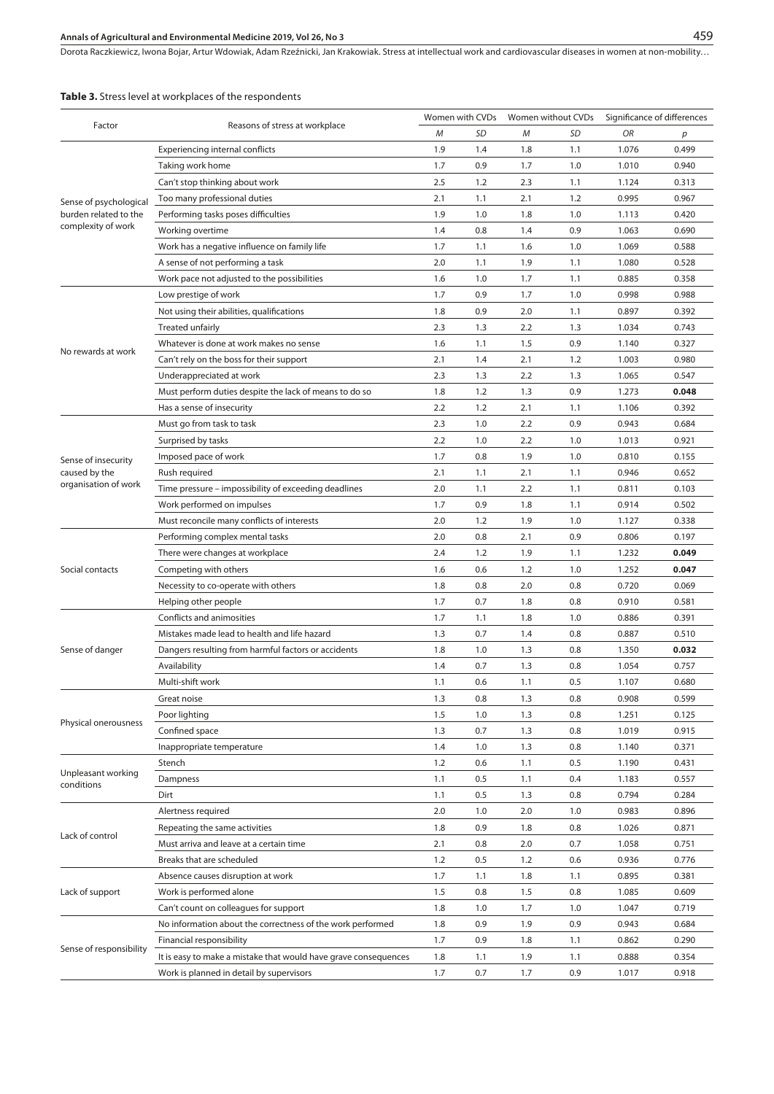# **Annals of Agricultural and Environmental Medicine 2019, Vol 26, No 3**

Dorota Raczkiewicz, Iwona Bojar, Artur Wdowiak, Adam Rzeźnicki, Jan Krakowiak . Stress at intellectual work and cardiovascular diseases in women at non-mobility…

| Factor                                                                | Reasons of stress at workplace                                  |     | Women with CVDs |     | Women without CVDs | Significance of differences |       |
|-----------------------------------------------------------------------|-----------------------------------------------------------------|-----|-----------------|-----|--------------------|-----------------------------|-------|
|                                                                       |                                                                 |     | SD              | М   | SD                 | ΟR                          | р     |
| Sense of psychological<br>burden related to the<br>complexity of work | Experiencing internal conflicts                                 | 1.9 | 1.4             | 1.8 | 1.1                | 1.076                       | 0.499 |
|                                                                       | Taking work home                                                | 1.7 | 0.9             | 1.7 | 1.0                | 1.010                       | 0.940 |
|                                                                       | Can't stop thinking about work                                  | 2.5 | 1.2             | 2.3 | 1.1                | 1.124                       | 0.313 |
|                                                                       | Too many professional duties                                    | 2.1 | 1.1             | 2.1 | 1.2                | 0.995                       | 0.967 |
|                                                                       | Performing tasks poses difficulties                             | 1.9 | 1.0             | 1.8 | 1.0                | 1.113                       | 0.420 |
|                                                                       | Working overtime                                                | 1.4 | 0.8             | 1.4 | 0.9                | 1.063                       | 0.690 |
|                                                                       | Work has a negative influence on family life                    | 1.7 | 1.1             | 1.6 | 1.0                | 1.069                       | 0.588 |
|                                                                       | A sense of not performing a task                                | 2.0 | 1.1             | 1.9 | 1.1                | 1.080                       | 0.528 |
|                                                                       | Work pace not adjusted to the possibilities                     | 1.6 | 1.0             | 1.7 | 1.1                | 0.885                       | 0.358 |
|                                                                       | Low prestige of work                                            | 1.7 | 0.9             | 1.7 | 1.0                | 0.998                       | 0.988 |
|                                                                       | Not using their abilities, qualifications                       | 1.8 | 0.9             | 2.0 | 1.1                | 0.897                       | 0.392 |
|                                                                       | Treated unfairly                                                | 2.3 | 1.3             | 2.2 | 1.3                | 1.034                       | 0.743 |
|                                                                       | Whatever is done at work makes no sense                         | 1.6 | 1.1             | 1.5 | 0.9                | 1.140                       | 0.327 |
| No rewards at work                                                    | Can't rely on the boss for their support                        | 2.1 | 1.4             | 2.1 | 1.2                | 1.003                       | 0.980 |
|                                                                       | Underappreciated at work                                        | 2.3 | 1.3             | 2.2 | 1.3                | 1.065                       | 0.547 |
|                                                                       | Must perform duties despite the lack of means to do so          | 1.8 | 1.2             | 1.3 | 0.9                | 1.273                       | 0.048 |
|                                                                       | Has a sense of insecurity                                       | 2.2 | 1.2             | 2.1 | 1.1                | 1.106                       | 0.392 |
|                                                                       | Must go from task to task                                       | 2.3 | 1.0             | 2.2 | 0.9                | 0.943                       | 0.684 |
|                                                                       | Surprised by tasks                                              | 2.2 | 1.0             | 2.2 | 1.0                | 1.013                       | 0.921 |
|                                                                       | Imposed pace of work                                            | 1.7 | 0.8             | 1.9 | 1.0                | 0.810                       | 0.155 |
| Sense of insecurity<br>caused by the                                  | Rush required                                                   | 2.1 | 1.1             | 2.1 | 1.1                | 0.946                       | 0.652 |
| organisation of work                                                  | Time pressure – impossibility of exceeding deadlines            | 2.0 | 1.1             | 2.2 | 1.1                | 0.811                       | 0.103 |
|                                                                       | Work performed on impulses                                      | 1.7 | 0.9             | 1.8 | 1.1                | 0.914                       | 0.502 |
|                                                                       | Must reconcile many conflicts of interests                      | 2.0 | 1.2             | 1.9 | 1.0                | 1.127                       | 0.338 |
|                                                                       |                                                                 | 2.0 | 0.8             | 2.1 | 0.9                | 0.806                       | 0.197 |
|                                                                       | Performing complex mental tasks                                 | 2.4 |                 | 1.9 | 1.1                | 1.232                       | 0.049 |
|                                                                       | There were changes at workplace                                 |     | 1.2             |     |                    |                             |       |
| Social contacts                                                       | Competing with others                                           | 1.6 | 0.6             | 1.2 | 1.0                | 1.252                       | 0.047 |
|                                                                       | Necessity to co-operate with others                             | 1.8 | 0.8             | 2.0 | 0.8                | 0.720                       | 0.069 |
|                                                                       | Helping other people                                            | 1.7 | 0.7             | 1.8 | 0.8                | 0.910                       | 0.581 |
|                                                                       | Conflicts and animosities                                       | 1.7 | 1.1             | 1.8 | 1.0                | 0.886                       | 0.391 |
|                                                                       | Mistakes made lead to health and life hazard                    | 1.3 | 0.7             | 1.4 | 0.8                | 0.887                       | 0.510 |
| Sense of danger                                                       | Dangers resulting from harmful factors or accidents             | 1.8 | 1.0             | 1.3 | 0.8                | 1.350                       | 0.032 |
|                                                                       | Availability                                                    | 1.4 | 0.7             | 1.3 | 0.8                | 1.054                       | 0.757 |
|                                                                       | Multi-shift work                                                | 1.1 | 0.6             | 1.1 | 0.5                | 1.107                       | 0.680 |
|                                                                       | Great noise                                                     | 1.3 | 0.8             | 1.3 | 0.8                | 0.908                       | 0.599 |
| Physical onerousness                                                  | Poor lighting                                                   | 1.5 | 1.0             | 1.3 | 0.8                | 1.251                       | 0.125 |
|                                                                       | Confined space                                                  | 1.3 | 0.7             | 1.3 | 0.8                | 1.019                       | 0.915 |
|                                                                       | Inappropriate temperature                                       | 1.4 | 1.0             | 1.3 | 0.8                | 1.140                       | 0.371 |
| Unpleasant working                                                    | Stench                                                          | 1.2 | 0.6             | 1.1 | 0.5                | 1.190                       | 0.431 |
| conditions                                                            | Dampness                                                        | 1.1 | 0.5             | 1.1 | 0.4                | 1.183                       | 0.557 |
|                                                                       | Dirt                                                            | 1.1 | 0.5             | 1.3 | 0.8                | 0.794                       | 0.284 |
|                                                                       | Alertness required                                              | 2.0 | 1.0             | 2.0 | 1.0                | 0.983                       | 0.896 |
| Lack of control                                                       | Repeating the same activities                                   | 1.8 | 0.9             | 1.8 | 0.8                | 1.026                       | 0.871 |
|                                                                       | Must arriva and leave at a certain time                         | 2.1 | 0.8             | 2.0 | 0.7                | 1.058                       | 0.751 |
|                                                                       | Breaks that are scheduled                                       | 1.2 | 0.5             | 1.2 | 0.6                | 0.936                       | 0.776 |
| Lack of support                                                       | Absence causes disruption at work                               | 1.7 | 1.1             | 1.8 | 1.1                | 0.895                       | 0.381 |
|                                                                       | Work is performed alone                                         | 1.5 | 0.8             | 1.5 | 0.8                | 1.085                       | 0.609 |
|                                                                       | Can't count on colleagues for support                           | 1.8 | 1.0             | 1.7 | 1.0                | 1.047                       | 0.719 |
|                                                                       | No information about the correctness of the work performed      | 1.8 | 0.9             | 1.9 | 0.9                | 0.943                       | 0.684 |
|                                                                       | Financial responsibility                                        | 1.7 | 0.9             | 1.8 | 1.1                | 0.862                       | 0.290 |
| Sense of responsibility                                               | It is easy to make a mistake that would have grave consequences | 1.8 | 1.1             | 1.9 | 1.1                | 0.888                       | 0.354 |
|                                                                       | Work is planned in detail by supervisors                        | 1.7 | 0.7             | 1.7 | 0.9                | 1.017                       | 0.918 |

# **Table 3.** Stress level at workplaces of the respondents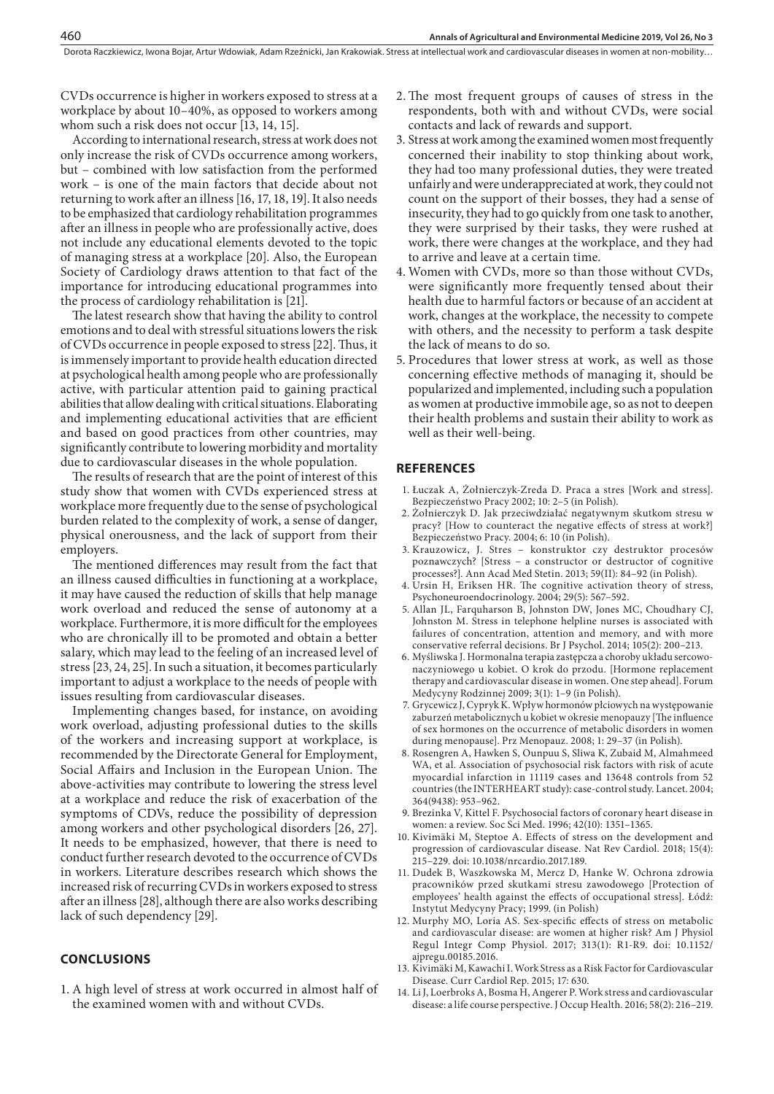CVDs occurrence is higher in workers exposed to stress at a workplace by about 10–40%, as opposed to workers among whom such a risk does not occur [13, 14, 15].

460

According to international research, stress at work does not only increase the risk of CVDs occurrence among workers, but – combined with low satisfaction from the performed work – is one of the main factors that decide about not returning to work after an illness [16, 17, 18, 19]. It also needs to be emphasized that cardiology rehabilitation programmes after an illness in people who are professionally active, does not include any educational elements devoted to the topic of managing stress at a workplace [20]. Also, the European Society of Cardiology draws attention to that fact of the importance for introducing educational programmes into the process of cardiology rehabilitation is [21].

The latest research show that having the ability to control emotions and to deal with stressful situations lowers the risk of CVDs occurrence in people exposed to stress [22]. Thus, it is immensely important to provide health education directed at psychological health among people who are professionally active, with particular attention paid to gaining practical abilities that allow dealing with critical situations. Elaborating and implementing educational activities that are efficient and based on good practices from other countries, may significantly contribute to lowering morbidity and mortality due to cardiovascular diseases in the whole population.

The results of research that are the point of interest of this study show that women with CVDs experienced stress at workplace more frequently due to the sense of psychological burden related to the complexity of work, a sense of danger, physical onerousness, and the lack of support from their employers.

The mentioned differences may result from the fact that an illness caused difficulties in functioning at a workplace, it may have caused the reduction of skills that help manage work overload and reduced the sense of autonomy at a workplace. Furthermore, it is more difficult for the employees who are chronically ill to be promoted and obtain a better salary, which may lead to the feeling of an increased level of stress [23, 24, 25]. In such a situation, it becomes particularly important to adjust a workplace to the needs of people with issues resulting from cardiovascular diseases.

Implementing changes based, for instance, on avoiding work overload, adjusting professional duties to the skills of the workers and increasing support at workplace, is recommended by the Directorate General for Employment, Social Affairs and Inclusion in the European Union. The above-activities may contribute to lowering the stress level at a workplace and reduce the risk of exacerbation of the symptoms of CDVs, reduce the possibility of depression among workers and other psychological disorders [26, 27]. It needs to be emphasized, however, that there is need to conduct further research devoted to the occurrence of CVDs in workers. Literature describes research which shows the increased risk of recurring CVDs in workers exposed to stress after an illness [28], although there are also works describing lack of such dependency [29].

# **CONCLUSIONS**

1. A high level of stress at work occurred in almost half of the examined women with and without CVDs.

- 2.The most frequent groups of causes of stress in the respondents, both with and without CVDs, were social contacts and lack of rewards and support.
- 3. Stress at work among the examined women most frequently concerned their inability to stop thinking about work, they had too many professional duties, they were treated unfairly and were underappreciated at work, they could not count on the support of their bosses, they had a sense of insecurity, they had to go quickly from one task to another, they were surprised by their tasks, they were rushed at work, there were changes at the workplace, and they had to arrive and leave at a certain time.
- 4. Women with CVDs, more so than those without CVDs, were significantly more frequently tensed about their health due to harmful factors or because of an accident at work, changes at the workplace, the necessity to compete with others, and the necessity to perform a task despite the lack of means to do so.
- 5. Procedures that lower stress at work, as well as those concerning effective methods of managing it, should be popularized and implemented, including such a population as women at productive immobile age, so as not to deepen their health problems and sustain their ability to work as well as their well-being.

#### **REFERENCES**

- 1. Łuczak A, Żołnierczyk-Zreda D. Praca a stres [Work and stress]. Bezpieczeństwo Pracy 2002; 10: 2–5 (in Polish).
- 2. Żołnierczyk D. Jak przeciwdziałać negatywnym skutkom stresu w pracy? [How to counteract the negative effects of stress at work?] Bezpieczeństwo Pracy. 2004; 6: 10 (in Polish).
- 3. Krauzowicz, J. Stres konstruktor czy destruktor procesów poznawczych? [Stress – a constructor or destructor of cognitive processes?]. Ann Acad Med Stetin. 2013; 59(II): 84–92 (in Polish).
- 4. Ursin H, Eriksen HR. The cognitive activation theory of stress, Psychoneuroendocrinology. 2004; 29(5): 567–592.
- 5. Allan JL, Farquharson B, Johnston DW, Jones MC, Choudhary CJ, Johnston M. Stress in telephone helpline nurses is associated with failures of concentration, attention and memory, and with more conservative referral decisions. Br J Psychol. 2014; 105(2): 200–213.
- 6. Myśliwska J. Hormonalna terapia zastępcza a choroby układu sercowonaczyniowego u kobiet. O krok do przodu. [Hormone replacement therapy and cardiovascular disease in women. One step ahead]. Forum Medycyny Rodzinnej 2009; 3(1): 1–9 (in Polish).
- 7. Grycewicz J, Cypryk K. Wpływ hormonów płciowych na występowanie zaburzeń metabolicznych u kobiet w okresie menopauzy [The influence of sex hormones on the occurrence of metabolic disorders in women during menopause]. Prz Menopauz. 2008; 1: 29–37 (in Polish).
- 8. Rosengren A, Hawken S, Ounpuu S, Sliwa K, Zubaid M, Almahmeed WA, et al. Association of psychosocial risk factors with risk of acute myocardial infarction in 11119 cases and 13648 controls from 52 countries (the INTERHEART study): case-control study. Lancet. 2004; 364(9438): 953–962.
- 9. Brezinka V, Kittel F. Psychosocial factors of coronary heart disease in women: a review. Soc Sci Med. 1996; 42(10): 1351–1365.
- 10. Kivimäki M, Steptoe A. Effects of stress on the development and progression of cardiovascular disease. Nat Rev Cardiol. 2018; 15(4): 215–229. doi: 10.1038/nrcardio.2017.189.
- 11. Dudek B, Waszkowska M, Mercz D, Hanke W. Ochrona zdrowia pracowników przed skutkami stresu zawodowego [Protection of employees' health against the effects of occupational stress]. Łódź: Instytut Medycyny Pracy; 1999. (in Polish)
- 12. Murphy MO, Loria AS. Sex-specific effects of stress on metabolic and cardiovascular disease: are women at higher risk? Am J Physiol Regul Integr Comp Physiol. 2017; 313(1): R1-R9. doi: 10.1152/ ajpregu.00185.2016.
- 13. Kivimäki M, Kawachi I. Work Stress as a Risk Factor for Cardiovascular Disease. Curr Cardiol Rep. 2015; 17: 630.
- 14. Li J, Loerbroks A, Bosma H, Angerer P. Work stress and cardiovascular disease: a life course perspective. J Occup Health. 2016; 58(2): 216–219.